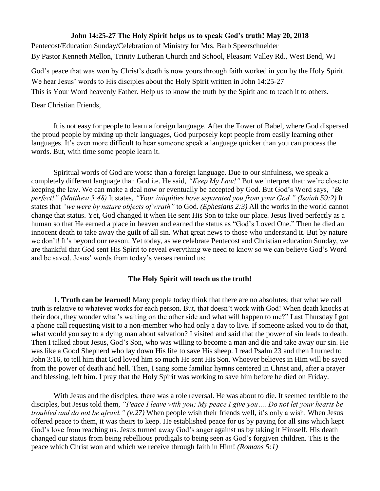## **John 14:25-27 The Holy Spirit helps us to speak God's truth! May 20, 2018**

Pentecost/Education Sunday/Celebration of Ministry for Mrs. Barb Speerschneider By Pastor Kenneth Mellon, Trinity Lutheran Church and School, Pleasant Valley Rd., West Bend, WI

God's peace that was won by Christ's death is now yours through faith worked in you by the Holy Spirit. We hear Jesus' words to His disciples about the Holy Spirit written in John 14:25-27

This is Your Word heavenly Father. Help us to know the truth by the Spirit and to teach it to others.

Dear Christian Friends,

It is not easy for people to learn a foreign language. After the Tower of Babel, where God dispersed the proud people by mixing up their languages, God purposely kept people from easily learning other languages. It's even more difficult to hear someone speak a language quicker than you can process the words. But, with time some people learn it.

Spiritual words of God are worse than a foreign language. Due to our sinfulness, we speak a completely different language than God i.e. He said, *"Keep My Law!"* But we interpret that: we're close to keeping the law. We can make a deal now or eventually be accepted by God. But God's Word says, *"Be perfect!" (Matthew 5:48)* It states, *"Your iniquities have separated you from your God." (Isaiah 59:2)* It states that *"we were by nature objects of wrath"* to God. *(Ephesians 2:3)* All the works in the world cannot change that status. Yet, God changed it when He sent His Son to take our place. Jesus lived perfectly as a human so that He earned a place in heaven and earned the status as "God's Loved One." Then he died an innocent death to take away the guilt of all sin. What great news to those who understand it. But by nature we don't! It's beyond our reason. Yet today, as we celebrate Pentecost and Christian education Sunday, we are thankful that God sent His Spirit to reveal everything we need to know so we can believe God's Word and be saved. Jesus' words from today's verses remind us:

## **The Holy Spirit will teach us the truth!**

**1. Truth can be learned!** Many people today think that there are no absolutes; that what we call truth is relative to whatever works for each person. But, that doesn't work with God! When death knocks at their door, they wonder what's waiting on the other side and what will happen to me?" Last Thursday I got a phone call requesting visit to a non-member who had only a day to live. If someone asked you to do that, what would you say to a dying man about salvation? I visited and said that the power of sin leads to death. Then I talked about Jesus, God's Son, who was willing to become a man and die and take away our sin. He was like a Good Shepherd who lay down His life to save His sheep. I read Psalm 23 and then I turned to John 3:16, to tell him that God loved him so much He sent His Son. Whoever believes in Him will be saved from the power of death and hell. Then, I sang some familiar hymns centered in Christ and, after a prayer and blessing, left him. I pray that the Holy Spirit was working to save him before he died on Friday.

With Jesus and the disciples, there was a role reversal. He was about to die. It seemed terrible to the disciples, but Jesus told them, *"Peace I leave with you; My peace I give you…. Do not let your hearts be troubled and do not be afraid." (v.27)* When people wish their friends well, it's only a wish. When Jesus offered peace to them, it was theirs to keep. He established peace for us by paying for all sins which kept God's love from reaching us. Jesus turned away God's anger against us by taking it Himself. His death changed our status from being rebellious prodigals to being seen as God's forgiven children. This is the peace which Christ won and which we receive through faith in Him! *(Romans 5:1)*